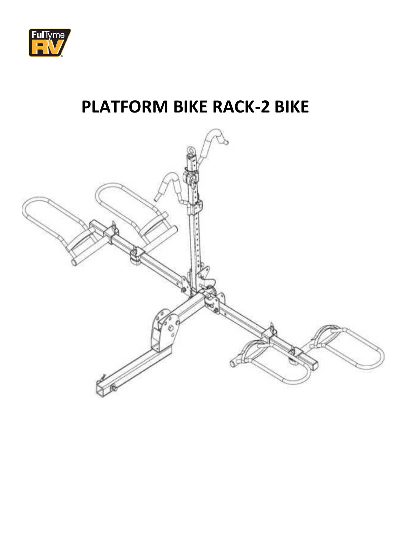

# **PLATFORM BIKE RACK-2 BIKE**

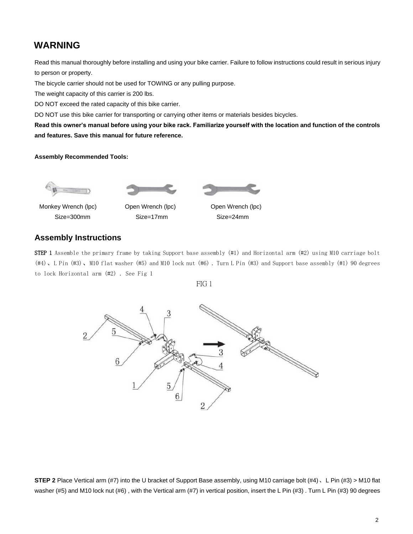# **WARNING**

Read this manual thoroughly before installing and using your bike carrier. Failure to follow instructions could result in serious injury to person or property.

The bicycle carrier should not be used for TOWING or any pulling purpose.

The weight capacity of this carrier is 200 lbs.

DO NOT exceed the rated capacity of this bike carrier.

DO NOT use this bike carrier for transporting or carrying other items or materials besides bicycles.

**Read this owner's manual before using your bike rack. Familiarize yourself with the location and function of the controls and features. Save this manual for future reference.** 

#### **Assembly Recommended Tools:**







Monkey Wrench (lpc) Open Wrench (lpc) Open Wrench (lpc)

Size=300mm Size=17mm Size=24mm

## **Assembly Instructions**

**STEP 1** Assemble the primary frame by taking Support base assembly  $(41)$  and Horizontal arm  $(42)$  using M10 carriage bolt (#4)、L Pin (#3)、M10 flat washer (#5) and M10 lock nut (#6) . Turn L Pin (#3) and Support base assembly (#1) 90 degrees to lock Horizontal arm (#2) . See Fig 1





**STEP 2** Place Vertical arm (#7) into the U bracket of Support Base assembly, using M10 carriage bolt (#4)、L Pin (#3) > M10 flat washer (#5) and M10 lock nut (#6), with the Vertical arm (#7) in vertical position, insert the L Pin (#3). Turn L Pin (#3) 90 degrees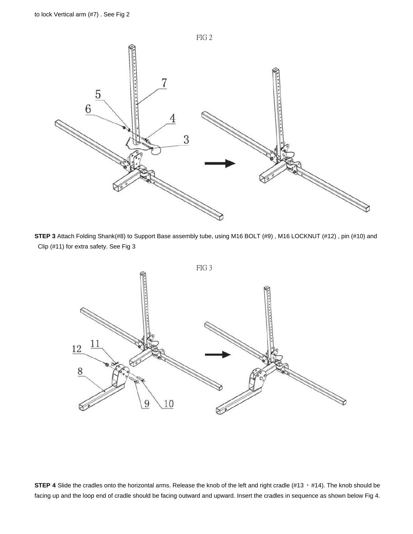

**STEP 3** Attach Folding Shank(#8) to Support Base assembly tube, using M16 BOLT (#9) , M16 LOCKNUT (#12) , pin (#10) and Clip (#11) for extra safety. See Fig 3



**STEP 4** Slide the cradles onto the horizontal arms. Release the knob of the left and right cradle (#13 · #14). The knob should be facing up and the loop end of cradle should be facing outward and upward. Insert the cradles in sequence as shown below Fig 4.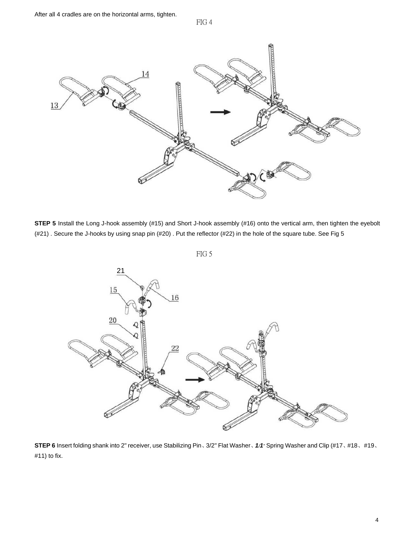FIG 4



**STEP 5** Install the Long J-hook assembly (#15) and Short J-hook assembly (#16) onto the vertical arm, then tighten the eyebolt (#21) . Secure the J-hooks by using snap pin (#20) . Put the reflector (#22) in the hole of the square tube. See Fig 5





**STEP 6** Insert folding shank into 2" receiver, use Stabilizing Pin、3/2" Flat Washer、*1/1"* Spring Washer and Clip (#17、#18、#19、 #11) to fix.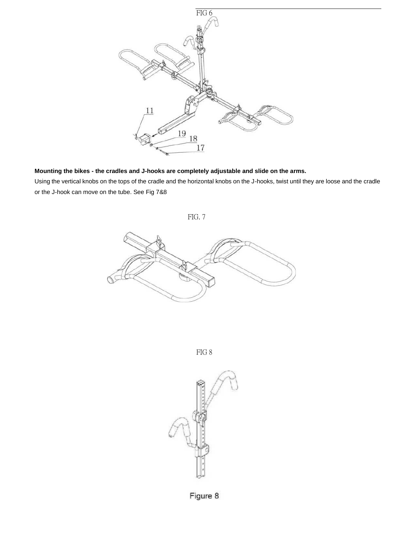

**Mounting the bikes - the cradles and J-hooks are completely adjustable and slide on the arms.**

Using the vertical knobs on the tops of the cradle and the horizontal knobs on the J-hooks, twist until they are loose and the cradle or the J-hook can move on the tube. See Fig 7&8

FIG. 7



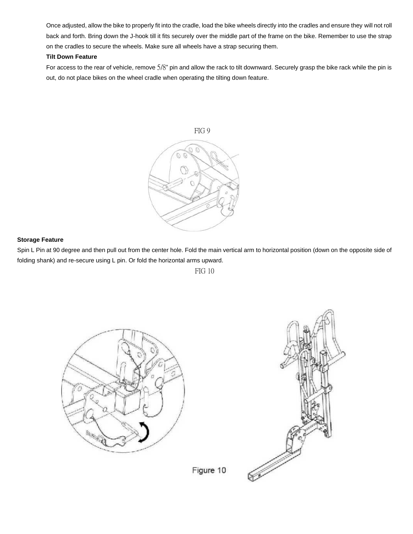Once adjusted, allow the bike to properly fit into the cradle, load the bike wheels directly into the cradles and ensure they will not roll back and forth. Bring down the J-hook till it fits securely over the middle part of the frame on the bike. Remember to use the strap on the cradles to secure the wheels. Make sure all wheels have a strap securing them.

### **Tilt Down Feature**

For access to the rear of vehicle, remove 5/8" pin and allow the rack to tilt downward. Securely grasp the bike rack while the pin is out, do not place bikes on the wheel cradle when operating the tilting down feature.



### **Storage Feature**

Spin L Pin at 90 degree and then pull out from the center hole. Fold the main vertical arm to horizontal position (down on the opposite side of folding shank) and re-secure using L pin. Or fold the horizontal arms upward.

FIG 10





Figure 10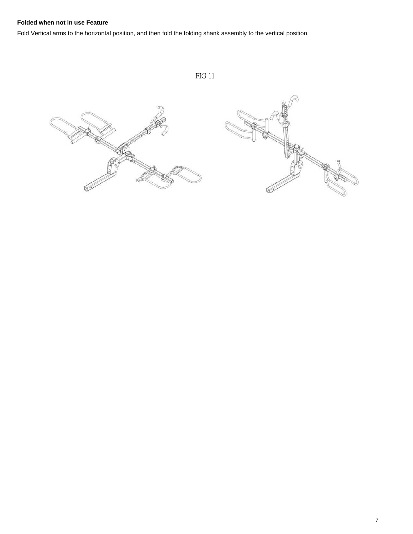# **Folded when not in use Feature**

Fold Vertical arms to the horizontal position, and then fold the folding shank assembly to the vertical position.

ƙ

FIG 11